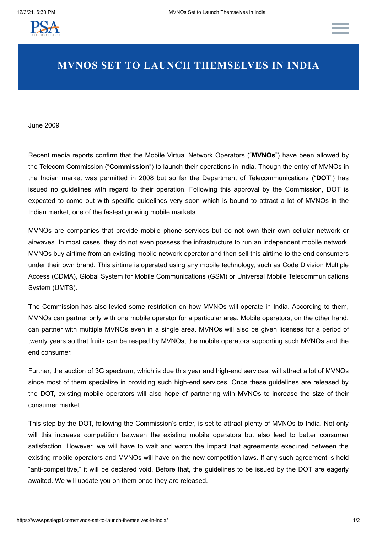

## **MVNOS SET TO LAUNCH THEMSELVES IN INDIA**

June 2009

Recent media reports confirm that the Mobile Virtual Network Operators ("**MVNOs**") have been allowed by the Telecom Commission ("**Commission**") to launch their operations in India. Though the entry of MVNOs in the Indian market was permitted in 2008 but so far the Department of Telecommunications ("**DOT**") has issued no guidelines with regard to their operation. Following this approval by the Commission, DOT is expected to come out with specific guidelines very soon which is bound to attract a lot of MVNOs in the Indian market, one of the fastest growing mobile markets.

MVNOs are companies that provide mobile phone services but do not own their own cellular network or airwaves. In most cases, they do not even possess the infrastructure to run an independent mobile network. MVNOs buy airtime from an existing mobile network operator and then sell this airtime to the end consumers under their own brand. This airtime is operated using any mobile technology, such as Code Division Multiple Access (CDMA), Global System for Mobile Communications (GSM) or Universal Mobile Telecommunications System (UMTS).

The Commission has also levied some restriction on how MVNOs will operate in India. According to them, MVNOs can partner only with one mobile operator for a particular area. Mobile operators, on the other hand, can partner with multiple MVNOs even in a single area. MVNOs will also be given licenses for a period of twenty years so that fruits can be reaped by MVNOs, the mobile operators supporting such MVNOs and the end consumer.

Further, the auction of 3G spectrum, which is due this year and high-end services, will attract a lot of MVNOs since most of them specialize in providing such high-end services. Once these guidelines are released by the DOT, existing mobile operators will also hope of partnering with MVNOs to increase the size of their consumer market.

This step by the DOT, following the Commission's order, is set to attract plenty of MVNOs to India. Not only will this increase competition between the existing mobile operators but also lead to better consumer satisfaction. However, we will have to wait and watch the impact that agreements executed between the existing mobile operators and MVNOs will have on the new competition laws. If any such agreement is held "anti-competitive," it will be declared void. Before that, the guidelines to be issued by the DOT are eagerly awaited. We will update you on them once they are released.